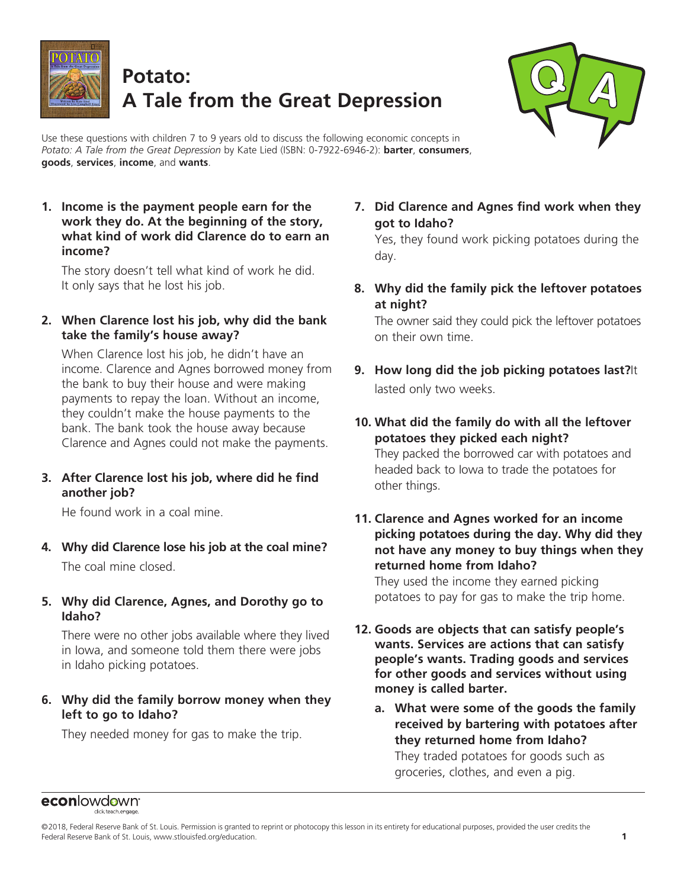

# **Potato: A Tale from the Great Depression**



Use these questions with children 7 to 9 years old to discuss the following economic concepts in *Potato: A Tale from the Great Depression* by Kate Lied (ISBN: 0-7922-6946-2): **barter**, **consumers**, **goods**, **services**, **income**, and **wants**.

**1. Income is the payment people earn for the work they do. At the beginning of the story, what kind of work did Clarence do to earn an income?**

The story doesn't tell what kind of work he did. It only says that he lost his job.

**2. When Clarence lost his job, why did the bank take the family's house away?**

When Clarence lost his job, he didn't have an income. Clarence and Agnes borrowed money from the bank to buy their house and were making payments to repay the loan. Without an income, they couldn't make the house payments to the bank. The bank took the house away because Clarence and Agnes could not make the payments.

**3. After Clarence lost his job, where did he find another job?**

He found work in a coal mine.

- **4. Why did Clarence lose his job at the coal mine?** The coal mine closed.
- **5. Why did Clarence, Agnes, and Dorothy go to Idaho?**

There were no other jobs available where they lived in Iowa, and someone told them there were jobs in Idaho picking potatoes.

**6. Why did the family borrow money when they left to go to Idaho?**

They needed money for gas to make the trip.

**7. Did Clarence and Agnes find work when they got to Idaho?**

Yes, they found work picking potatoes during the day.

**8. Why did the family pick the leftover potatoes at night?**

The owner said they could pick the leftover potatoes on their own time.

- **9. How long did the job picking potatoes last?**It lasted only two weeks.
- **10. What did the family do with all the leftover potatoes they picked each night?** They packed the borrowed car with potatoes and headed back to Iowa to trade the potatoes for other things.
- **11. Clarence and Agnes worked for an income picking potatoes during the day. Why did they not have any money to buy things when they returned home from Idaho?**

They used the income they earned picking potatoes to pay for gas to make the trip home.

- **12. Goods are objects that can satisfy people's wants. Services are actions that can satisfy people's wants. Trading goods and services for other goods and services without using money is called barter.**
	- **a. What were some of the goods the family received by bartering with potatoes after they returned home from Idaho?** They traded potatoes for goods such as groceries, clothes, and even a pig.

#### econlowdown<sup>®</sup>

<sup>©2018,</sup> Federal Reserve Bank of St. Louis. Permission is granted to reprint or photocopy this lesson in its entirety for educational purposes, provided the user credits the Federal Reserve Bank of St. Louis, www.stlouisfed.org/education. **1**